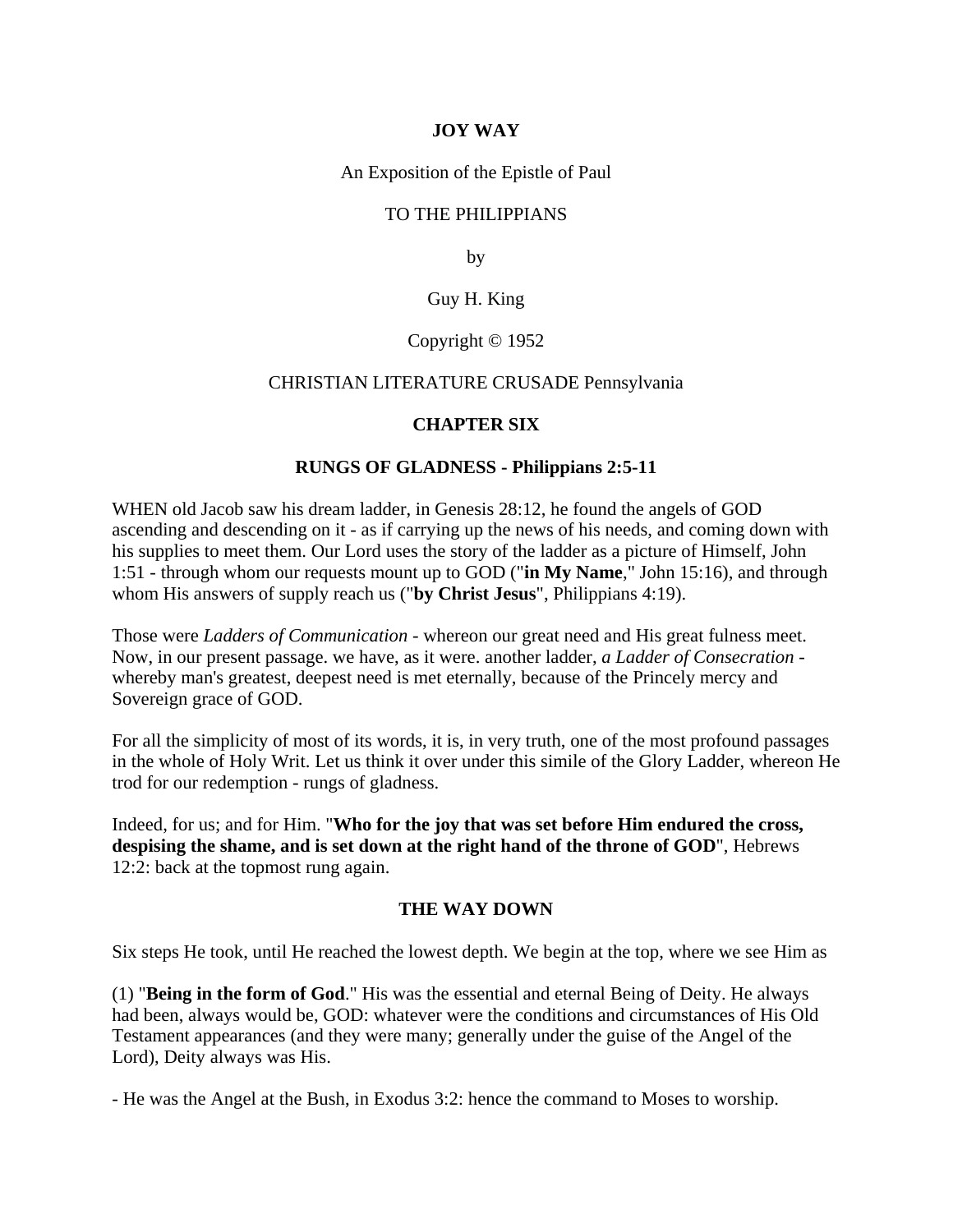# **JOY WAY**

An Exposition of the Epistle of Paul

## TO THE PHILIPPIANS

by

# Guy H. King

## Copyright © 1952

### CHRISTIAN LITERATURE CRUSADE Pennsylvania

### **CHAPTER SIX**

### **RUNGS OF GLADNESS - Philippians 2:5-11**

WHEN old Jacob saw his dream ladder, in Genesis 28:12, he found the angels of GOD ascending and descending on it - as if carrying up the news of his needs, and coming down with his supplies to meet them. Our Lord uses the story of the ladder as a picture of Himself, John 1:51 - through whom our requests mount up to GOD ("**in My Name**," John 15:16), and through whom His answers of supply reach us ("**by Christ Jesus**", Philippians 4:19).

Those were *Ladders of Communication* - whereon our great need and His great fulness meet. Now, in our present passage. we have, as it were. another ladder, *a Ladder of Consecration* whereby man's greatest, deepest need is met eternally, because of the Princely mercy and Sovereign grace of GOD.

For all the simplicity of most of its words, it is, in very truth, one of the most profound passages in the whole of Holy Writ. Let us think it over under this simile of the Glory Ladder, whereon He trod for our redemption - rungs of gladness.

Indeed, for us; and for Him. "**Who for the joy that was set before Him endured the cross, despising the shame, and is set down at the right hand of the throne of GOD**", Hebrews 12:2: back at the topmost rung again.

#### **THE WAY DOWN**

Six steps He took, until He reached the lowest depth. We begin at the top, where we see Him as

(1) "**Being in the form of God**." His was the essential and eternal Being of Deity. He always had been, always would be, GOD: whatever were the conditions and circumstances of His Old Testament appearances (and they were many; generally under the guise of the Angel of the Lord), Deity always was His.

- He was the Angel at the Bush, in Exodus 3:2: hence the command to Moses to worship.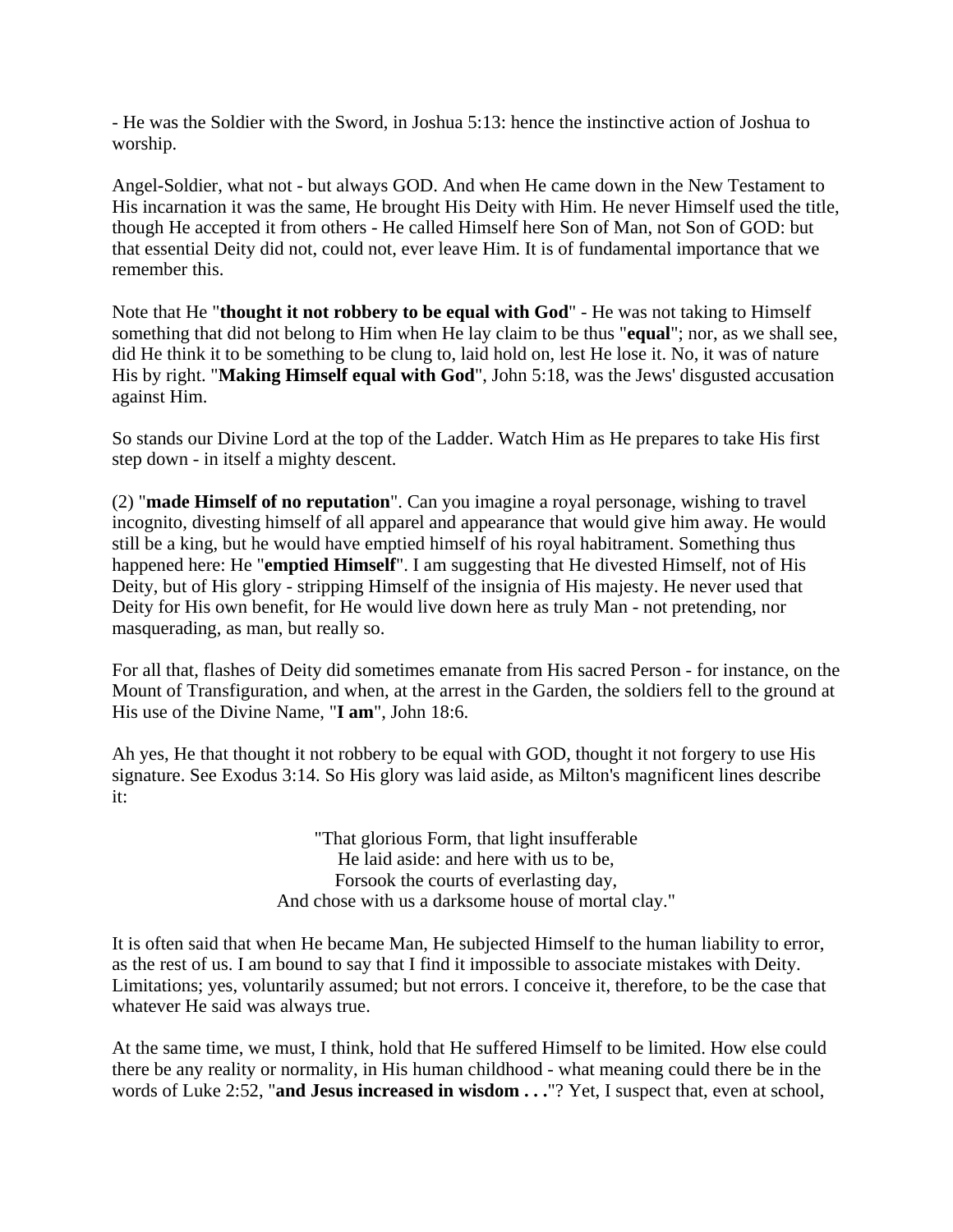- He was the Soldier with the Sword, in Joshua 5:13: hence the instinctive action of Joshua to worship.

Angel-Soldier, what not - but always GOD. And when He came down in the New Testament to His incarnation it was the same, He brought His Deity with Him. He never Himself used the title, though He accepted it from others - He called Himself here Son of Man, not Son of GOD: but that essential Deity did not, could not, ever leave Him. It is of fundamental importance that we remember this.

Note that He "**thought it not robbery to be equal with God**" - He was not taking to Himself something that did not belong to Him when He lay claim to be thus "**equal**"; nor, as we shall see, did He think it to be something to be clung to, laid hold on, lest He lose it. No, it was of nature His by right. "**Making Himself equal with God**", John 5:18, was the Jews' disgusted accusation against Him.

So stands our Divine Lord at the top of the Ladder. Watch Him as He prepares to take His first step down - in itself a mighty descent.

(2) "**made Himself of no reputation**". Can you imagine a royal personage, wishing to travel incognito, divesting himself of all apparel and appearance that would give him away. He would still be a king, but he would have emptied himself of his royal habitrament. Something thus happened here: He "**emptied Himself**". I am suggesting that He divested Himself, not of His Deity, but of His glory - stripping Himself of the insignia of His majesty. He never used that Deity for His own benefit, for He would live down here as truly Man - not pretending, nor masquerading, as man, but really so.

For all that, flashes of Deity did sometimes emanate from His sacred Person - for instance, on the Mount of Transfiguration, and when, at the arrest in the Garden, the soldiers fell to the ground at His use of the Divine Name, "**I am**", John 18:6.

Ah yes, He that thought it not robbery to be equal with GOD, thought it not forgery to use His signature. See Exodus 3:14. So His glory was laid aside, as Milton's magnificent lines describe it:

> "That glorious Form, that light insufferable He laid aside: and here with us to be, Forsook the courts of everlasting day, And chose with us a darksome house of mortal clay."

It is often said that when He became Man, He subjected Himself to the human liability to error, as the rest of us. I am bound to say that I find it impossible to associate mistakes with Deity. Limitations; yes, voluntarily assumed; but not errors. I conceive it, therefore, to be the case that whatever He said was always true.

At the same time, we must, I think, hold that He suffered Himself to be limited. How else could there be any reality or normality, in His human childhood - what meaning could there be in the words of Luke 2:52, "**and Jesus increased in wisdom . . .**"? Yet, I suspect that, even at school,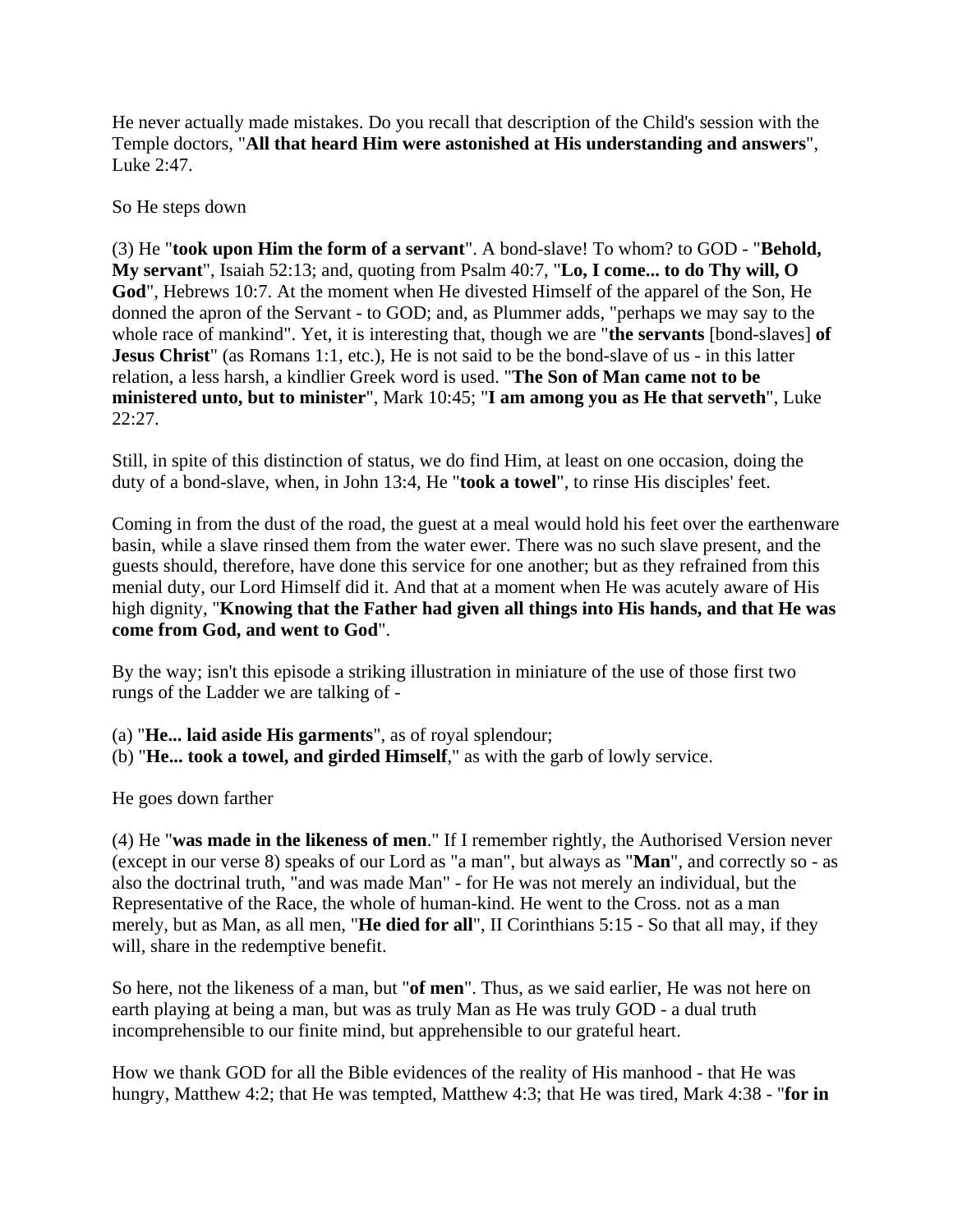He never actually made mistakes. Do you recall that description of the Child's session with the Temple doctors, "**All that heard Him were astonished at His understanding and answers**", Luke 2:47.

So He steps down

(3) He "**took upon Him the form of a servant**". A bond-slave! To whom? to GOD - "**Behold, My servant**", Isaiah 52:13; and, quoting from Psalm 40:7, "**Lo, I come... to do Thy will, O God**", Hebrews 10:7. At the moment when He divested Himself of the apparel of the Son, He donned the apron of the Servant - to GOD; and, as Plummer adds, "perhaps we may say to the whole race of mankind". Yet, it is interesting that, though we are "**the servants** [bond-slaves] **of Jesus Christ**" (as Romans 1:1, etc.). He is not said to be the bond-slave of us - in this latter relation, a less harsh, a kindlier Greek word is used. "**The Son of Man came not to be ministered unto, but to minister**", Mark 10:45; "**I am among you as He that serveth**", Luke 22:27.

Still, in spite of this distinction of status, we do find Him, at least on one occasion, doing the duty of a bond-slave, when, in John 13:4, He "**took a towel**", to rinse His disciples' feet.

Coming in from the dust of the road, the guest at a meal would hold his feet over the earthenware basin, while a slave rinsed them from the water ewer. There was no such slave present, and the guests should, therefore, have done this service for one another; but as they refrained from this menial duty, our Lord Himself did it. And that at a moment when He was acutely aware of His high dignity, "**Knowing that the Father had given all things into His hands, and that He was come from God, and went to God**".

By the way; isn't this episode a striking illustration in miniature of the use of those first two rungs of the Ladder we are talking of -

(a) "**He... laid aside His garments**", as of royal splendour;

(b) "**He... took a towel, and girded Himself**," as with the garb of lowly service.

He goes down farther

(4) He "**was made in the likeness of men**." If I remember rightly, the Authorised Version never (except in our verse 8) speaks of our Lord as "a man", but always as "**Man**", and correctly so - as also the doctrinal truth, "and was made Man" - for He was not merely an individual, but the Representative of the Race, the whole of human-kind. He went to the Cross. not as a man merely, but as Man, as all men, "**He died for all**", II Corinthians 5:15 - So that all may, if they will, share in the redemptive benefit.

So here, not the likeness of a man, but "**of men**". Thus, as we said earlier, He was not here on earth playing at being a man, but was as truly Man as He was truly GOD - a dual truth incomprehensible to our finite mind, but apprehensible to our grateful heart.

How we thank GOD for all the Bible evidences of the reality of His manhood - that He was hungry, Matthew 4:2; that He was tempted, Matthew 4:3; that He was tired, Mark 4:38 - "**for in**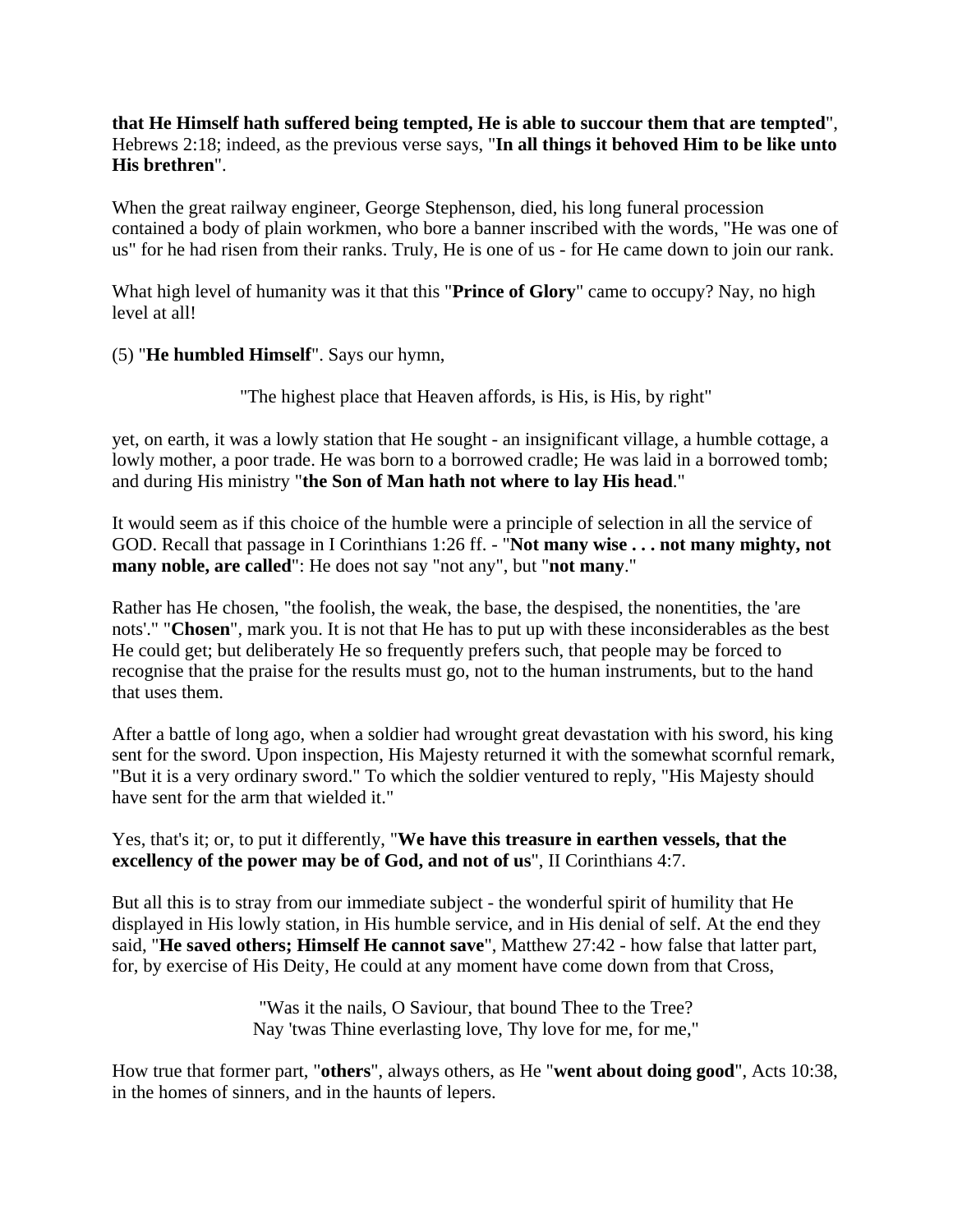# **that He Himself hath suffered being tempted, He is able to succour them that are tempted**", Hebrews 2:18; indeed, as the previous verse says, "**In all things it behoved Him to be like unto His brethren**".

When the great railway engineer, George Stephenson, died, his long funeral procession contained a body of plain workmen, who bore a banner inscribed with the words, "He was one of us" for he had risen from their ranks. Truly, He is one of us - for He came down to join our rank.

What high level of humanity was it that this "**Prince of Glory**" came to occupy? Nay, no high level at all!

# (5) "**He humbled Himself**". Says our hymn,

"The highest place that Heaven affords, is His, is His, by right"

yet, on earth, it was a lowly station that He sought - an insignificant village, a humble cottage, a lowly mother, a poor trade. He was born to a borrowed cradle; He was laid in a borrowed tomb; and during His ministry "**the Son of Man hath not where to lay His head**."

It would seem as if this choice of the humble were a principle of selection in all the service of GOD. Recall that passage in I Corinthians 1:26 ff. - "**Not many wise . . . not many mighty, not many noble, are called**": He does not say "not any", but "**not many**."

Rather has He chosen, "the foolish, the weak, the base, the despised, the nonentities, the 'are nots'." "**Chosen**", mark you. It is not that He has to put up with these inconsiderables as the best He could get; but deliberately He so frequently prefers such, that people may be forced to recognise that the praise for the results must go, not to the human instruments, but to the hand that uses them.

After a battle of long ago, when a soldier had wrought great devastation with his sword, his king sent for the sword. Upon inspection, His Majesty returned it with the somewhat scornful remark, "But it is a very ordinary sword." To which the soldier ventured to reply, "His Majesty should have sent for the arm that wielded it."

# Yes, that's it; or, to put it differently, "**We have this treasure in earthen vessels, that the excellency of the power may be of God, and not of us**", II Corinthians 4:7.

But all this is to stray from our immediate subject - the wonderful spirit of humility that He displayed in His lowly station, in His humble service, and in His denial of self. At the end they said, "**He saved others; Himself He cannot save**", Matthew 27:42 - how false that latter part, for, by exercise of His Deity, He could at any moment have come down from that Cross,

> "Was it the nails, O Saviour, that bound Thee to the Tree? Nay 'twas Thine everlasting love, Thy love for me, for me,"

How true that former part, "**others**", always others, as He "**went about doing good**", Acts 10:38, in the homes of sinners, and in the haunts of lepers.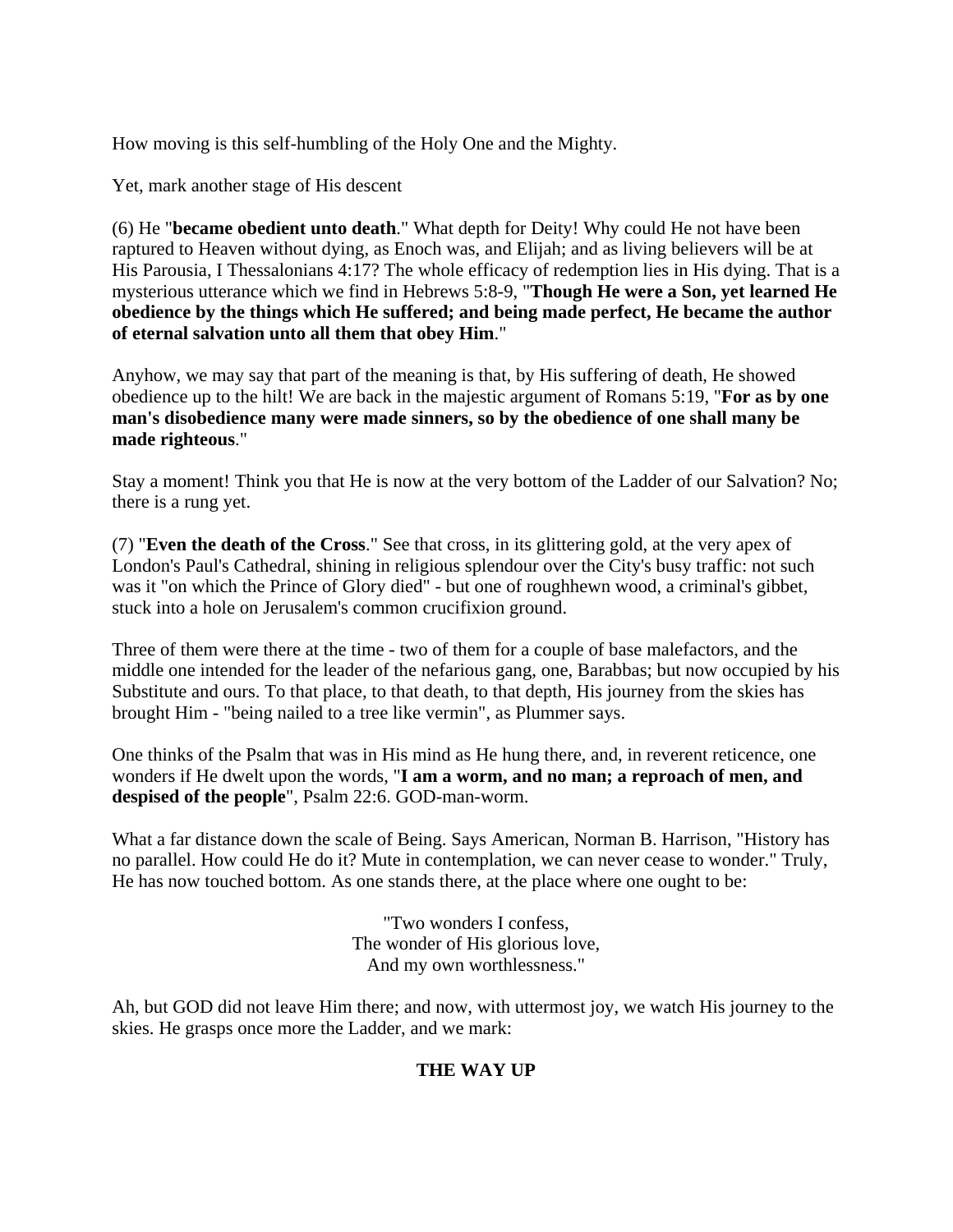How moving is this self-humbling of the Holy One and the Mighty.

Yet, mark another stage of His descent

(6) He "**became obedient unto death**." What depth for Deity! Why could He not have been raptured to Heaven without dying, as Enoch was, and Elijah; and as living believers will be at His Parousia, I Thessalonians 4:17? The whole efficacy of redemption lies in His dying. That is a mysterious utterance which we find in Hebrews 5:8-9, "**Though He were a Son, yet learned He obedience by the things which He suffered; and being made perfect, He became the author of eternal salvation unto all them that obey Him**."

Anyhow, we may say that part of the meaning is that, by His suffering of death, He showed obedience up to the hilt! We are back in the majestic argument of Romans 5:19, "**For as by one man's disobedience many were made sinners, so by the obedience of one shall many be made righteous**."

Stay a moment! Think you that He is now at the very bottom of the Ladder of our Salvation? No; there is a rung yet.

(7) "**Even the death of the Cross**." See that cross, in its glittering gold, at the very apex of London's Paul's Cathedral, shining in religious splendour over the City's busy traffic: not such was it "on which the Prince of Glory died" - but one of roughhewn wood, a criminal's gibbet, stuck into a hole on Jerusalem's common crucifixion ground.

Three of them were there at the time - two of them for a couple of base malefactors, and the middle one intended for the leader of the nefarious gang, one, Barabbas; but now occupied by his Substitute and ours. To that place, to that death, to that depth, His journey from the skies has brought Him - "being nailed to a tree like vermin", as Plummer says.

One thinks of the Psalm that was in His mind as He hung there, and, in reverent reticence, one wonders if He dwelt upon the words, "**I am a worm, and no man; a reproach of men, and despised of the people**", Psalm 22:6. GOD-man-worm.

What a far distance down the scale of Being. Says American, Norman B. Harrison, "History has no parallel. How could He do it? Mute in contemplation, we can never cease to wonder." Truly, He has now touched bottom. As one stands there, at the place where one ought to be:

> "Two wonders I confess, The wonder of His glorious love, And my own worthlessness."

Ah, but GOD did not leave Him there; and now, with uttermost joy, we watch His journey to the skies. He grasps once more the Ladder, and we mark:

# **THE WAY UP**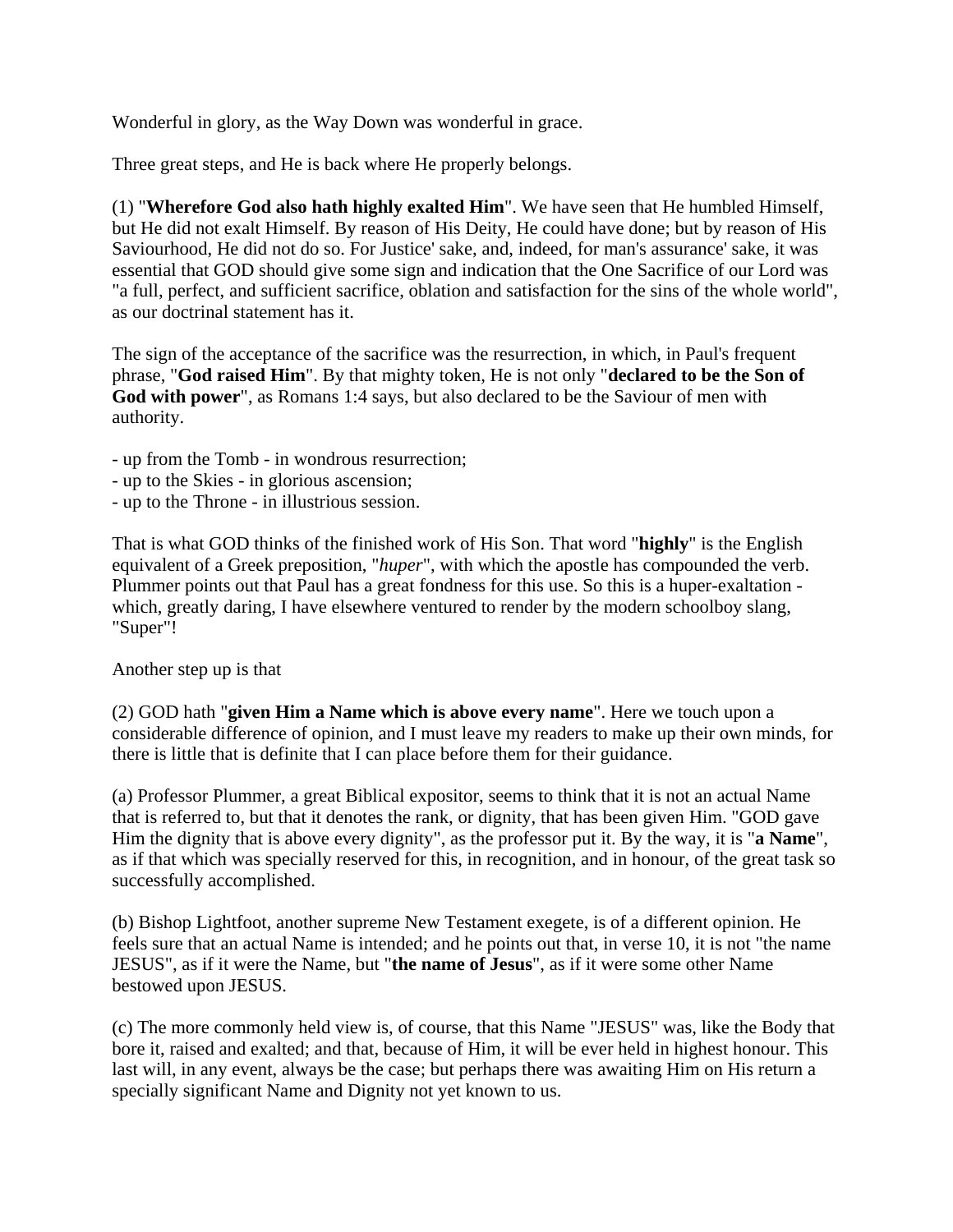Wonderful in glory, as the Way Down was wonderful in grace.

Three great steps, and He is back where He properly belongs.

(1) "**Wherefore God also hath highly exalted Him**". We have seen that He humbled Himself, but He did not exalt Himself. By reason of His Deity, He could have done; but by reason of His Saviourhood, He did not do so. For Justice' sake, and, indeed, for man's assurance' sake, it was essential that GOD should give some sign and indication that the One Sacrifice of our Lord was "a full, perfect, and sufficient sacrifice, oblation and satisfaction for the sins of the whole world", as our doctrinal statement has it.

The sign of the acceptance of the sacrifice was the resurrection, in which, in Paul's frequent phrase, "**God raised Him**". By that mighty token, He is not only "**declared to be the Son of God with power**", as Romans 1:4 says, but also declared to be the Saviour of men with authority.

- up from the Tomb - in wondrous resurrection;

- up to the Skies in glorious ascension;
- up to the Throne in illustrious session.

That is what GOD thinks of the finished work of His Son. That word "**highly**" is the English equivalent of a Greek preposition, "*huper*", with which the apostle has compounded the verb. Plummer points out that Paul has a great fondness for this use. So this is a huper-exaltation which, greatly daring, I have elsewhere ventured to render by the modern schoolboy slang, "Super"!

## Another step up is that

(2) GOD hath "**given Him a Name which is above every name**". Here we touch upon a considerable difference of opinion, and I must leave my readers to make up their own minds, for there is little that is definite that I can place before them for their guidance.

(a) Professor Plummer, a great Biblical expositor, seems to think that it is not an actual Name that is referred to, but that it denotes the rank, or dignity, that has been given Him. "GOD gave Him the dignity that is above every dignity", as the professor put it. By the way, it is "**a Name**", as if that which was specially reserved for this, in recognition, and in honour, of the great task so successfully accomplished.

(b) Bishop Lightfoot, another supreme New Testament exegete, is of a different opinion. He feels sure that an actual Name is intended; and he points out that, in verse 10, it is not "the name JESUS", as if it were the Name, but "**the name of Jesus**", as if it were some other Name bestowed upon JESUS.

(c) The more commonly held view is, of course, that this Name "JESUS" was, like the Body that bore it, raised and exalted; and that, because of Him, it will be ever held in highest honour. This last will, in any event, always be the case; but perhaps there was awaiting Him on His return a specially significant Name and Dignity not yet known to us.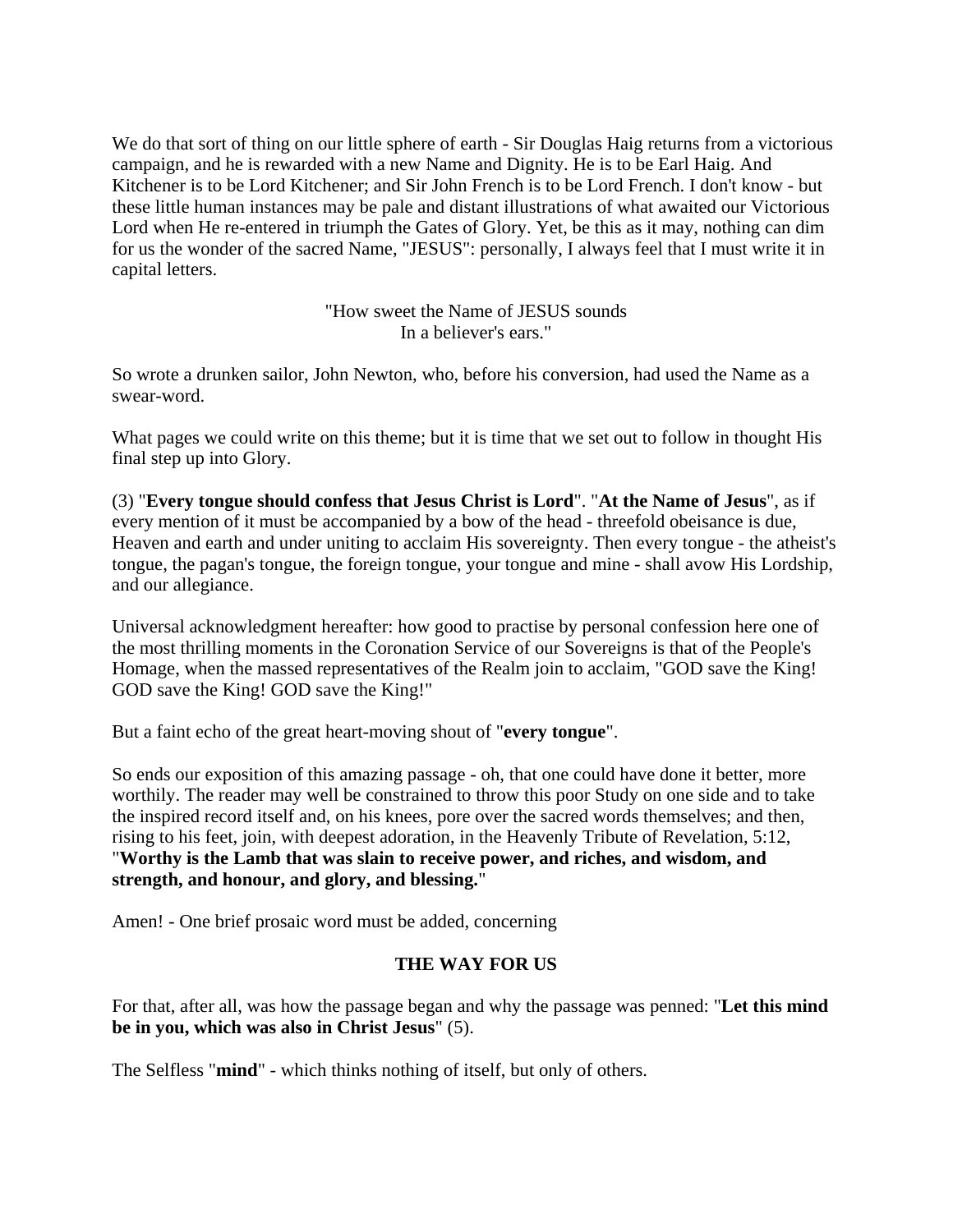We do that sort of thing on our little sphere of earth - Sir Douglas Haig returns from a victorious campaign, and he is rewarded with a new Name and Dignity. He is to be Earl Haig. And Kitchener is to be Lord Kitchener; and Sir John French is to be Lord French. I don't know - but these little human instances may be pale and distant illustrations of what awaited our Victorious Lord when He re-entered in triumph the Gates of Glory. Yet, be this as it may, nothing can dim for us the wonder of the sacred Name, "JESUS": personally, I always feel that I must write it in capital letters.

> "How sweet the Name of JESUS sounds In a believer's ears."

So wrote a drunken sailor, John Newton, who, before his conversion, had used the Name as a swear-word.

What pages we could write on this theme; but it is time that we set out to follow in thought His final step up into Glory.

(3) "**Every tongue should confess that Jesus Christ is Lord**". "**At the Name of Jesus**", as if every mention of it must be accompanied by a bow of the head - threefold obeisance is due, Heaven and earth and under uniting to acclaim His sovereignty. Then every tongue - the atheist's tongue, the pagan's tongue, the foreign tongue, your tongue and mine - shall avow His Lordship, and our allegiance.

Universal acknowledgment hereafter: how good to practise by personal confession here one of the most thrilling moments in the Coronation Service of our Sovereigns is that of the People's Homage, when the massed representatives of the Realm join to acclaim, "GOD save the King! GOD save the King! GOD save the King!"

But a faint echo of the great heart-moving shout of "**every tongue**".

So ends our exposition of this amazing passage - oh, that one could have done it better, more worthily. The reader may well be constrained to throw this poor Study on one side and to take the inspired record itself and, on his knees, pore over the sacred words themselves; and then, rising to his feet, join, with deepest adoration, in the Heavenly Tribute of Revelation, 5:12, "**Worthy is the Lamb that was slain to receive power, and riches, and wisdom, and strength, and honour, and glory, and blessing.**"

Amen! - One brief prosaic word must be added, concerning

## **THE WAY FOR US**

For that, after all, was how the passage began and why the passage was penned: "**Let this mind be in you, which was also in Christ Jesus**" (5).

The Selfless "**mind**" - which thinks nothing of itself, but only of others.